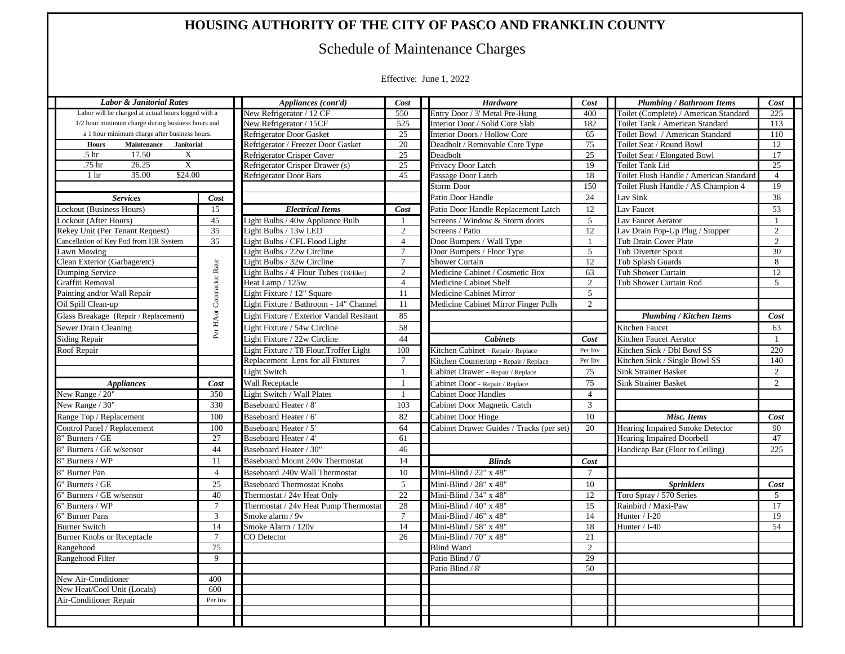## **HOUSING AUTHORITY OF THE CITY OF PASCO AND FRANKLIN COUNTY**

## Schedule of Maintenance Charges

Effective: June 1, 2022

| <b>Labor &amp; Janitorial Rates</b>                 |                          | Appliances (cont'd)                      | Cost            | <b>Hardware</b>                          | Cost            | <b>Plumbing / Bathroom Items</b>        | Cost           |
|-----------------------------------------------------|--------------------------|------------------------------------------|-----------------|------------------------------------------|-----------------|-----------------------------------------|----------------|
| Labor will be charged at actual hours logged with a |                          | New Refrigerator / 12 CF                 | 550             | Entry Door / 3' Metal Pre-Hung           | 400             | Toilet (Complete) / American Standard   | 225            |
| 1/2 hour minimum charge during business hours and   |                          | New Refrigerator / 15CF                  | 525             | Interior Door / Solid Core Slab          | 182             | Toilet Tank / American Standard         | 113            |
| a 1 hour minimum charge after business hours.       |                          | <b>Refrigerator Door Gasket</b>          | 25              | Interior Doors / Hollow Core             | 65              | Toilet Bowl / American Standard         | 110            |
| Maintenance Janitorial<br><b>Hours</b>              |                          | Refrigerator / Freezer Door Gasket       | 20              | Deadbolt / Removable Core Type           | 75              | Toilet Seat / Round Bowl                | 12             |
| 17.50<br>.5 <sub>hr</sub><br>X                      |                          | Refrigerator Crisper Cover               | 25              | Deadbolt                                 | 25              | Toilet Seat / Elongated Bowl            | 17             |
| .75 hr<br>26.25<br>X                                |                          | Refrigerator Crisper Drawer (s)          | 25              | Privacy Door Latch                       | 19              | <b>Toilet Tank Lid</b>                  | 25             |
| \$24.00<br>35.00<br>1 <sub>hr</sub>                 |                          | <b>Refrigerator Door Bars</b>            | 45              | Passage Door Latch                       | 18              | Toilet Flush Handle / American Standard | $\overline{4}$ |
|                                                     |                          |                                          |                 | <b>Storm Door</b>                        | 150             | Toilet Flush Handle / AS Champion 4     | 19             |
| <b>Services</b>                                     | Cost                     |                                          |                 | Patio Door Handle                        | 24              | Lav Sink                                | 38             |
| Lockout (Business Hours)                            | 15                       | <b>Electrical Items</b>                  | Cost            | Patio Door Handle Replacement Latch      | 12              | Lav Faucet                              | 53             |
| Lockout (After Hours)                               | 45                       | Light Bulbs / 40w Appliance Bulb         |                 | Screens / Window & Storm doors           | 5 <sup>5</sup>  | av Faucet Aerator                       |                |
| Rekey Unit (Per Tenant Request)                     | 35                       | Light Bulbs / 13w LED                    | 2               | Screens / Patio                          | 12              | Lav Drain Pop-Up Plug / Stopper         | 2              |
| Cancellation of Key Pod from HR System              | 35                       | Light Bulbs / CFL Flood Light            | $\overline{4}$  | Door Bumpers / Wall Type                 |                 | Tub Drain Cover Plate                   | 2              |
| Lawn Mowing                                         |                          | Light Bulbs / 22w Circline               | $7\overline{ }$ | Door Bumpers / Floor Type                | 5               | <b>Tub Diverter Spout</b>               | 30             |
| Clean Exterior (Garbage/etc)                        |                          | Light Bulbs / 32w Circline               | $7\overline{ }$ | <b>Shower Curtain</b>                    | 12              | Tub Splash Guards                       | 8              |
| Dumping Service                                     | Per HAor Contractor Rate | Light Bulbs / 4' Flour Tubes (T8/Elec)   | $\overline{2}$  | Medicine Cabinet / Cosmetic Box          | 63              | <b>Tub Shower Curtain</b>               | 12             |
| Graffiti Removal                                    |                          | Heat Lamp / 125w                         | $\overline{4}$  | Medicine Cabinet Shelf                   | 2               | Tub Shower Curtain Rod                  | 5              |
| Painting and/or Wall Repair                         |                          | Light Fixture / 12" Square               | 11              | Medicine Cabinet Mirror                  | $5\overline{)}$ |                                         |                |
| Oil Spill Clean-up                                  |                          | Light Fixture / Bathroom - 14" Channel   | 11              | Medicine Cabinet Mirror Finger Pulls     | 2               |                                         |                |
| Glass Breakage (Repair / Replacement)               |                          | Light Fixture / Exterior Vandal Resitant | 85              |                                          |                 | <b>Plumbing / Kitchen Items</b>         | Cost           |
| Sewer Drain Cleaning                                |                          | Light Fixture / 54w Circline             | 58              |                                          |                 | Kitchen Faucet                          | 63             |
| Siding Repair                                       |                          | Light Fixture / 22w Circline             | 44              | <b>Cabinets</b>                          | Cost            | Kitchen Faucet Aerator                  |                |
| Roof Repair                                         |                          | Light Fixture / T8 Flour. Troffer Light  | 100             | Kitchen Cabinet - Repair / Replace       | Per Inv         | Kitchen Sink / Dbl Bowl SS              | 220            |
|                                                     |                          | Replacement Lens for all Fixtures        | $\tau$          | Kitchen Countertop - Repair / Replace    | Per Inv         | Kitchen Sink / Single Bowl SS           | 140            |
|                                                     |                          | Light Switch                             | -1              | Cabinet Drawer - Repair / Replace        | 75              | <b>Sink Strainer Basket</b>             | 2              |
| Appliances                                          | Cost                     | Wall Receptacle                          | $\overline{1}$  | Cabinet Door - Repair / Replace          | 75              | <b>Sink Strainer Basket</b>             | 2              |
| New Range / 20"                                     | 350                      | Light Switch / Wall Plates               | $\overline{1}$  | <b>Cabinet Door Handles</b>              | $\overline{4}$  |                                         |                |
| New Range / 30"                                     | 330                      | Baseboard Heater / 8'                    | 103             | Cabinet Door Magnetic Catch              | 3               |                                         |                |
| Range Top / Replacement                             | 100                      | Baseboard Heater / 6'                    | 82              | <b>Cabinet Door Hinge</b>                | 10              | Misc. Items                             | Cost           |
| Control Panel / Replacement                         | 100                      | Baseboard Heater / 5'                    | 64              | Cabinet Drawer Guides / Tracks (per set) | 20              | Hearing Impaired Smoke Detector         | 90             |
| " Burners / GE                                      | 27                       | Baseboard Heater / 4'                    | 61              |                                          |                 | <b>Hearing Impaired Doorbell</b>        | 47             |
| Burners / GE w/sensor                               | 44                       | Baseboard Heater / 30'                   | 46              |                                          |                 | Handicap Bar (Floor to Ceiling)         | 225            |
|                                                     | 11                       | Baseboard Mount 240v Thermostat          | 14              | <b>Blinds</b>                            | Cost            |                                         |                |
| ' Burners / WP                                      |                          |                                          |                 |                                          |                 |                                         |                |
| " Burner Pan                                        | $\overline{4}$           | Baseboard 240v Wall Thermostat           | 10              | Mini-Blind / 22" x 48"                   | $7\phantom{.0}$ |                                         |                |
| Burners / GE                                        | 25                       | <b>Baseboard Thermostat Knobs</b>        | $5\overline{)}$ | Mini-Blind / 28" x 48"                   | 10              | <b>Sprinklers</b>                       | Cost           |
| Burners / GE w/sensor                               | 40                       | Thermostat / 24v Heat Only               | 22              | Mini-Blind / 34" x 48"                   | 12              | Toro Spray / 570 Series                 | 5              |
| ' Burners / WP                                      | $7\phantom{.0}$          | Thermostat / 24v Heat Pump Thermostat    | 28              | Mini-Blind / 40" x 48"                   | 15              | Rainbird / Maxi-Paw                     | 17             |
| Burner Pans                                         | $\overline{3}$           | Smoke alarm / 9v                         | $7\overline{ }$ | Mini-Blind / 46" x 48"                   | 14              | Hunter / I-20                           | 19             |
| <b>Burner Switch</b>                                | 14                       | Smoke Alarm / 120v                       | 14              | Mini-Blind / 58" x 48"                   | 18              | Hunter / I-40                           | 54             |
| <b>Burner Knobs or Receptacle</b>                   | $7\phantom{.0}$          | CO Detector                              | 26              | Mini-Blind / 70" x 48"                   | 21              |                                         |                |
| Rangehood                                           | 75                       |                                          |                 | <b>Blind Wand</b>                        | $\mathcal{L}$   |                                         |                |
| Rangehood Filter                                    | -9                       |                                          |                 | Patio Blind / 6'                         | 29              |                                         |                |
|                                                     |                          |                                          |                 | Patio Blind / 8'                         | 50              |                                         |                |
| New Air-Conditioner                                 | 400                      |                                          |                 |                                          |                 |                                         |                |
| New Heat/Cool Unit (Locals)                         | 600                      |                                          |                 |                                          |                 |                                         |                |
| Air-Conditioner Repair                              | Per Inv                  |                                          |                 |                                          |                 |                                         |                |
|                                                     |                          |                                          |                 |                                          |                 |                                         |                |
|                                                     |                          |                                          |                 |                                          |                 |                                         |                |